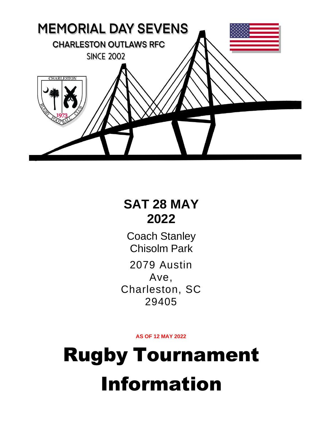

## **SAT 28 MAY 2022**

Coach Stanley Chisolm Park 2079 Austin Ave, Charleston, SC 29405

**AS OF 12 MAY 2022**

# Rugby Tournament Information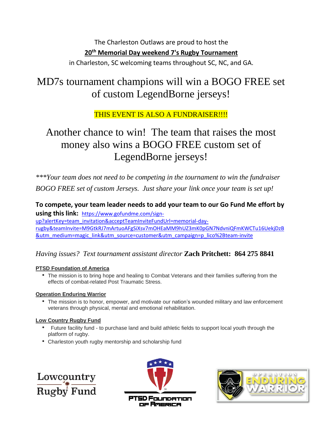The Charleston Outlaws are proud to host the **20th Memorial Day weekend 7's Rugby Tournament** in Charleston, SC welcoming teams throughout SC, NC, and GA.

## MD7s tournament champions will win a BOGO FREE set of custom LegendBorne jerseys!

### THIS EVENT IS ALSO A FUNDRAISER!!!!

## Another chance to win! The team that raises the most money also wins a BOGO FREE custom set of LegendBorne jerseys!

*\*\*\*Your team does not need to be competing in the tournament to win the fundraiser BOGO FREE set of custom Jerseys. Just share your link once your team is set up!*

**To compete, your team leader needs to add your team to our Go Fund Me effort by using this link:** [https://www.gofundme.com/sign](https://www.gofundme.com/sign-up?alertKey=team_invitation&acceptTeamInviteFundUrl=memorial-day-rugby&teamInvite=M9GtkRJ7mArtuoAFgSiXsv7mOHEaMM9hUZ3mK0pGN7NdvniQFmKWCTu16UekjDzB&utm_medium=magic_link&utm_source=customer&utm_campaign=p_lico%2Bteam-invite)[up?alertKey=team\\_invitation&acceptTeamInviteFundUrl=memorial-day](https://www.gofundme.com/sign-up?alertKey=team_invitation&acceptTeamInviteFundUrl=memorial-day-rugby&teamInvite=M9GtkRJ7mArtuoAFgSiXsv7mOHEaMM9hUZ3mK0pGN7NdvniQFmKWCTu16UekjDzB&utm_medium=magic_link&utm_source=customer&utm_campaign=p_lico%2Bteam-invite)[rugby&teamInvite=M9GtkRJ7mArtuoAFgSiXsv7mOHEaMM9hUZ3mK0pGN7NdvniQFmKWCTu16UekjDzB](https://www.gofundme.com/sign-up?alertKey=team_invitation&acceptTeamInviteFundUrl=memorial-day-rugby&teamInvite=M9GtkRJ7mArtuoAFgSiXsv7mOHEaMM9hUZ3mK0pGN7NdvniQFmKWCTu16UekjDzB&utm_medium=magic_link&utm_source=customer&utm_campaign=p_lico%2Bteam-invite) [&utm\\_medium=magic\\_link&utm\\_source=customer&utm\\_campaign=p\\_lico%2Bteam-invite](https://www.gofundme.com/sign-up?alertKey=team_invitation&acceptTeamInviteFundUrl=memorial-day-rugby&teamInvite=M9GtkRJ7mArtuoAFgSiXsv7mOHEaMM9hUZ3mK0pGN7NdvniQFmKWCTu16UekjDzB&utm_medium=magic_link&utm_source=customer&utm_campaign=p_lico%2Bteam-invite)

#### *Having issues? Text tournament assistant director* **Zach Pritchett: 864 275 8841**

#### **PTSD Foundation of America**

• The mission is to bring hope and healing to Combat Veterans and their families suffering from the effects of combat-related Post Traumatic Stress.

#### **Operation Enduring Warrior**

• The mission is to honor, empower, and motivate our nation's wounded military and law enforcement veterans through physical, mental and emotional rehabilitation.

#### **Low Country Rugby Fund**

- Future facility fund to purchase land and build athletic fields to support local youth through the platform of rugby.
- Charleston youth rugby mentorship and scholarship fund





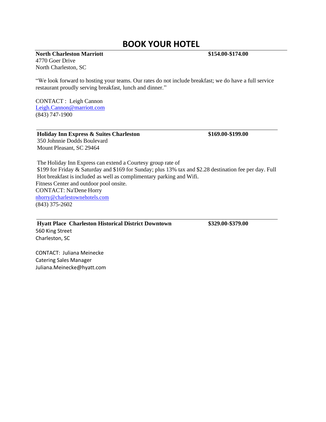#### **BOOK YOUR HOTEL**

**North Charleston Marriott \$154.00-\$174.00**

4770 Goer Drive North Charleston, SC

"We look forward to hosting your teams. Our rates do not include breakfast; we do have a full service restaurant proudly serving breakfast, lunch and dinner."

CONTACT : Leigh Cannon [Leigh.Cannon@marriott.com](mailto:Leigh.Cannon@marriott.com) (843) 747-1900

**Holiday Inn Express & Suites Charleston \$169.00-\$199.00** 350 Johnnie Dodds Boulevard Mount Pleasant, SC 29464

The Holiday Inn Express can extend a Courtesy group rate of \$199 for Friday & Saturday and \$169 for Sunday; plus 13% tax and \$2.28 destination fee per day. Full Hot breakfast is included as well as complimentary parking and Wifi. Fitness Center and outdoor pool onsite. CONTACT: Na'Dene Horry [nhorry@charlestownehotels.com](mailto:nhorry@charlestownehotels.com) (843) 375-2602

**Hyatt Place Charleston Historical District Downtown \$329.00-\$379.00** 560 King Street Charleston, SC

CONTACT: Juliana Meinecke Catering Sales Manager Juliana.Meinecke@hyatt.com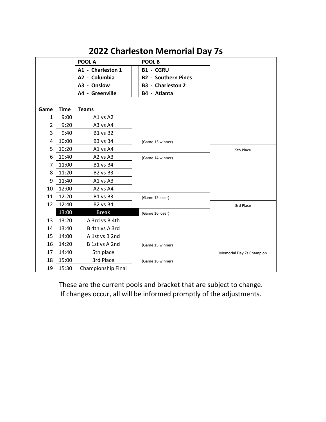|                |             | POOL A             |  | <b>POOL B</b>              |                          |  |  |
|----------------|-------------|--------------------|--|----------------------------|--------------------------|--|--|
|                |             | A1 - Charleston 1  |  | <b>B1 - CGRU</b>           |                          |  |  |
|                |             | A2 - Columbia      |  | <b>B2 - Southern Pines</b> |                          |  |  |
|                |             | A3 - Onslow        |  | <b>B3</b> - Charleston 2   |                          |  |  |
|                |             | A4 - Greenville    |  | B4 - Atlanta               |                          |  |  |
|                |             |                    |  |                            |                          |  |  |
| Game           | <b>Time</b> | <b>Teams</b>       |  |                            |                          |  |  |
| 1              | 9:00        | A1 vs A2           |  |                            |                          |  |  |
| $\overline{2}$ | 9:20        | A3 vs A4           |  |                            |                          |  |  |
| 3              | 9:40        | B1 vs B2           |  |                            |                          |  |  |
| 4              | 10:00       | B3 vs B4           |  | (Game 13 winner)           |                          |  |  |
| 5              | 10:20       | A1 vs A4           |  |                            | 5th Place                |  |  |
| 6              | 10:40       | A2 vs A3           |  | (Game 14 winner)           |                          |  |  |
| 7              | 11:00       | B1 vs B4           |  |                            |                          |  |  |
| 8              | 11:20       | B2 vs B3           |  |                            |                          |  |  |
| 9              | 11:40       | A1 vs A3           |  |                            |                          |  |  |
| 10             | 12:00       | A2 vs A4           |  |                            |                          |  |  |
| 11             | 12:20       | B1 vs B3           |  | (Game 15 loser)            |                          |  |  |
| 12             | 12:40       | <b>B2 vs B4</b>    |  |                            | 3rd Place                |  |  |
|                | 13:00       | <b>Break</b>       |  | (Game 16 loser)            |                          |  |  |
| 13             | 13:20       | A 3rd vs B 4th     |  |                            |                          |  |  |
| 14             | 13:40       | B 4th vs A 3rd     |  |                            |                          |  |  |
| 15             | 14:00       | A 1st vs B 2nd     |  |                            |                          |  |  |
| 16             | 14:20       | B 1st vs A 2nd     |  | (Game 15 winner)           |                          |  |  |
| 17             | 14:40       | 5th place          |  |                            | Memorial Day 7s Champion |  |  |
| 18             | 15:00       | 3rd Place          |  | (Game 16 winner)           |                          |  |  |
| 19             | 15:30       | Championship Final |  |                            |                          |  |  |

## **2022 Charleston Memorial Day 7s**

These are the current pools and bracket that are subject to change. If changes occur, all will be informed promptly of the adjustments.